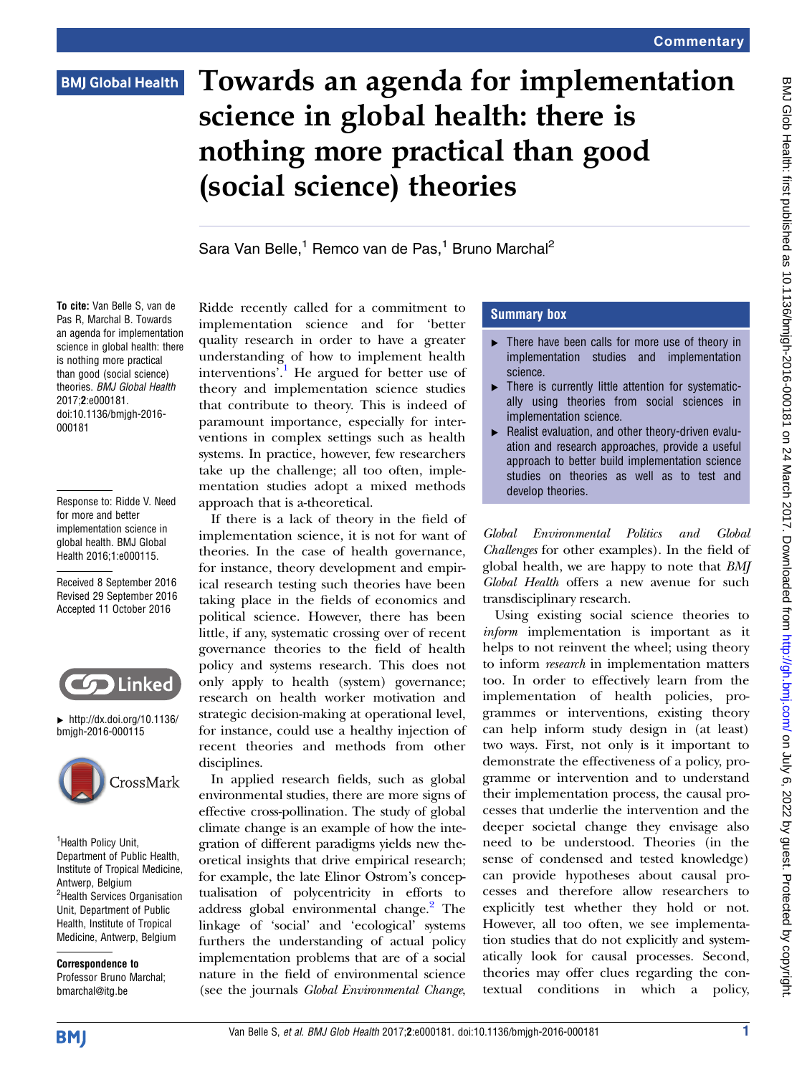## **BMJ Global Health**

## Towards an agenda for implementation science in global health: there is nothing more practical than good (social science) theories

Sara Van Belle,<sup>1</sup> Remco van de Pas,<sup>1</sup> Bruno Marchal<sup>2</sup>

To cite: Van Belle S, van de Pas R, Marchal B. Towards an agenda for implementation science in global health: there is nothing more practical than good (social science) theories. BMJ Global Health 2017;2:e000181. doi:10.1136/bmjgh-2016- 000181

Response to: Ridde V. Need for more and better implementation science in global health. BMJ Global Health 2016;1:e000115.

Received 8 September 2016 Revised 29 September 2016 Accepted 11 October 2016



 $\blacktriangleright$  [http://dx.doi.org/10.1136/](http://dx.doi.org/10.1136/bmjgh-2016-000115) [bmjgh-2016-000115](http://dx.doi.org/10.1136/bmjgh-2016-000115)



<sup>1</sup>Health Policy Unit, Department of Public Health, Institute of Tropical Medicine, Antwerp, Belgium <sup>2</sup>Health Services Organisation Unit, Department of Public Health, Institute of Tropical Medicine, Antwerp, Belgium

Correspondence to Professor Bruno Marchal; bmarchal@itg.be

Ridde recently called for a commitment to implementation science and for 'better quality research in order to have a greater understanding of how to implement health interventions<sup>7[1](#page-2-0)</sup> He argued for better use of theory and implementation science studies that contribute to theory. This is indeed of paramount importance, especially for interventions in complex settings such as health systems. In practice, however, few researchers take up the challenge; all too often, implementation studies adopt a mixed methods approach that is a-theoretical.

If there is a lack of theory in the field of implementation science, it is not for want of theories. In the case of health governance, for instance, theory development and empirical research testing such theories have been taking place in the fields of economics and political science. However, there has been little, if any, systematic crossing over of recent governance theories to the field of health policy and systems research. This does not only apply to health (system) governance; research on health worker motivation and strategic decision-making at operational level, for instance, could use a healthy injection of recent theories and methods from other disciplines.

In applied research fields, such as global environmental studies, there are more signs of effective cross-pollination. The study of global climate change is an example of how the integration of different paradigms yields new theoretical insights that drive empirical research; for example, the late Elinor Ostrom's conceptualisation of polycentricity in efforts to address global environmental change.<sup>[2](#page-2-0)</sup> The linkage of 'social' and 'ecological' systems furthers the understanding of actual policy implementation problems that are of a social nature in the field of environmental science (see the journals Global Environmental Change,

## Summary box

- ▸ There have been calls for more use of theory in implementation studies and implementation science.
- ▸ There is currently little attention for systematically using theories from social sciences in implementation science.
- ▸ Realist evaluation, and other theory-driven evaluation and research approaches, provide a useful approach to better build implementation science studies on theories as well as to test and develop theories.

Global Environmental Politics and Global Challenges for other examples). In the field of global health, we are happy to note that BMJ Global Health offers a new avenue for such transdisciplinary research.

Using existing social science theories to inform implementation is important as it helps to not reinvent the wheel; using theory to inform research in implementation matters too. In order to effectively learn from the implementation of health policies, programmes or interventions, existing theory can help inform study design in (at least) two ways. First, not only is it important to demonstrate the effectiveness of a policy, programme or intervention and to understand their implementation process, the causal processes that underlie the intervention and the deeper societal change they envisage also need to be understood. Theories (in the sense of condensed and tested knowledge) can provide hypotheses about causal processes and therefore allow researchers to explicitly test whether they hold or not. However, all too often, we see implementation studies that do not explicitly and systematically look for causal processes. Second, theories may offer clues regarding the contextual conditions in which a policy,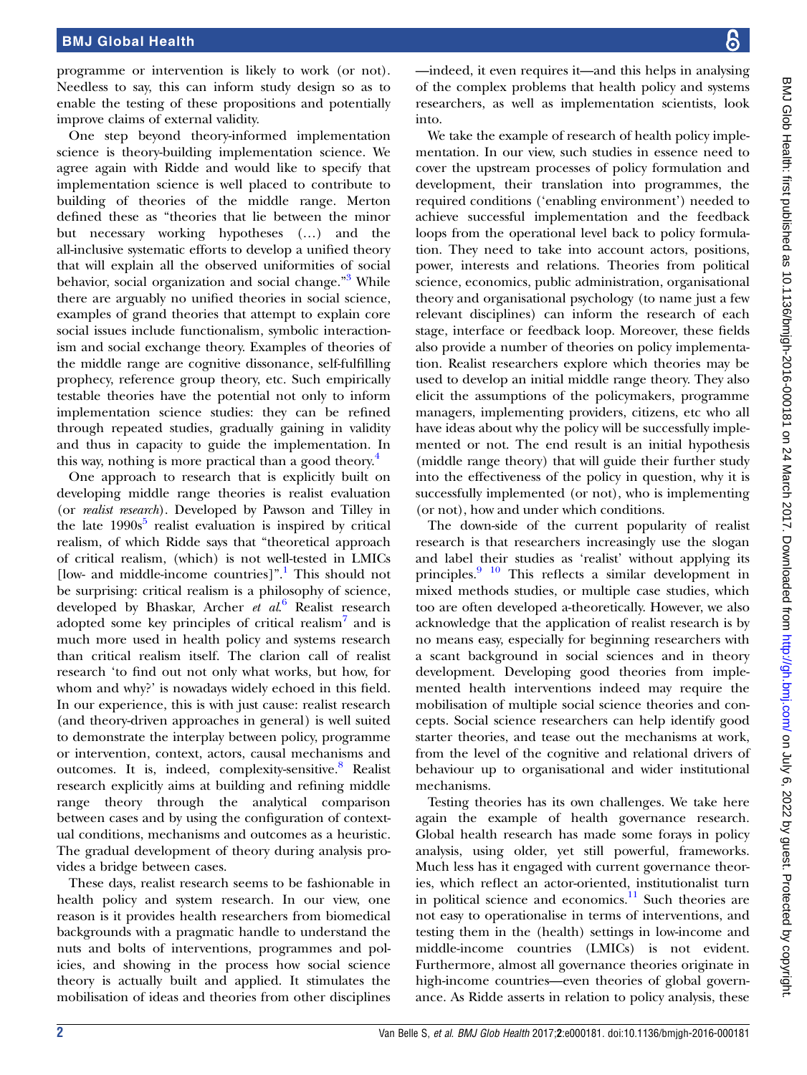programme or intervention is likely to work (or not). Needless to say, this can inform study design so as to enable the testing of these propositions and potentially improve claims of external validity.

One step beyond theory-informed implementation science is theory-building implementation science. We agree again with Ridde and would like to specify that implementation science is well placed to contribute to building of theories of the middle range. Merton defined these as "theories that lie between the minor but necessary working hypotheses (…) and the all-inclusive systematic efforts to develop a unified theory that will explain all the observed uniformities of social behavior, social organization and social change."<sup>[3](#page-2-0)</sup> While there are arguably no unified theories in social science, examples of grand theories that attempt to explain core social issues include functionalism, symbolic interactionism and social exchange theory. Examples of theories of the middle range are cognitive dissonance, self-fulfilling prophecy, reference group theory, etc. Such empirically testable theories have the potential not only to inform implementation science studies: they can be refined through repeated studies, gradually gaining in validity and thus in capacity to guide the implementation. In this way, nothing is more practical than a good theory.<sup>[4](#page-2-0)</sup>

One approach to research that is explicitly built on developing middle range theories is realist evaluation (or realist research). Developed by Pawson and Tilley in the late  $1990s<sup>5</sup>$  $1990s<sup>5</sup>$  $1990s<sup>5</sup>$  realist evaluation is inspired by critical realism, of which Ridde says that "theoretical approach of critical realism, (which) is not well-tested in LMICs [low- and middle-income countries]". [1](#page-2-0) This should not be surprising: critical realism is a philosophy of science, developed by Bhaskar, Archer et al.<sup>[6](#page-2-0)</sup> Realist research adopted some key principles of critical realism<sup>[7](#page-2-0)</sup> and is much more used in health policy and systems research than critical realism itself. The clarion call of realist research 'to find out not only what works, but how, for whom and why?' is nowadays widely echoed in this field. In our experience, this is with just cause: realist research (and theory-driven approaches in general) is well suited to demonstrate the interplay between policy, programme or intervention, context, actors, causal mechanisms and outcomes. It is, indeed, complexity-sensitive. $8$  Realist research explicitly aims at building and refining middle range theory through the analytical comparison between cases and by using the configuration of contextual conditions, mechanisms and outcomes as a heuristic. The gradual development of theory during analysis provides a bridge between cases.

These days, realist research seems to be fashionable in health policy and system research. In our view, one reason is it provides health researchers from biomedical backgrounds with a pragmatic handle to understand the nuts and bolts of interventions, programmes and policies, and showing in the process how social science theory is actually built and applied. It stimulates the mobilisation of ideas and theories from other disciplines

BMJ Glob Health: first published as 10.1136/bmigh-2016-000181 on 24 March 2017. Downloaded from http://gh.bmj.com/ on July 6, 2022 by guest. Protected by copyright BMJ Glob Health: first published as 10.1136/bmjgh-2016-000181 on 24 March 2017. Downloaded from <http://gh.bmj.com/> on July 6, 2022 by guest. Protected by copyright

—indeed, it even requires it—and this helps in analysing of the complex problems that health policy and systems researchers, as well as implementation scientists, look into.

We take the example of research of health policy implementation. In our view, such studies in essence need to cover the upstream processes of policy formulation and development, their translation into programmes, the required conditions ('enabling environment') needed to achieve successful implementation and the feedback loops from the operational level back to policy formulation. They need to take into account actors, positions, power, interests and relations. Theories from political science, economics, public administration, organisational theory and organisational psychology (to name just a few relevant disciplines) can inform the research of each stage, interface or feedback loop. Moreover, these fields also provide a number of theories on policy implementation. Realist researchers explore which theories may be used to develop an initial middle range theory. They also elicit the assumptions of the policymakers, programme managers, implementing providers, citizens, etc who all have ideas about why the policy will be successfully implemented or not. The end result is an initial hypothesis (middle range theory) that will guide their further study into the effectiveness of the policy in question, why it is successfully implemented (or not), who is implementing (or not), how and under which conditions.

The down-side of the current popularity of realist research is that researchers increasingly use the slogan and label their studies as 'realist' without applying its principles.[9 10](#page-2-0) This reflects a similar development in mixed methods studies, or multiple case studies, which too are often developed a-theoretically. However, we also acknowledge that the application of realist research is by no means easy, especially for beginning researchers with a scant background in social sciences and in theory development. Developing good theories from implemented health interventions indeed may require the mobilisation of multiple social science theories and concepts. Social science researchers can help identify good starter theories, and tease out the mechanisms at work, from the level of the cognitive and relational drivers of behaviour up to organisational and wider institutional mechanisms.

Testing theories has its own challenges. We take here again the example of health governance research. Global health research has made some forays in policy analysis, using older, yet still powerful, frameworks. Much less has it engaged with current governance theories, which reflect an actor-oriented, institutionalist turn in political science and economics. $\frac{11}{11}$  Such theories are not easy to operationalise in terms of interventions, and testing them in the (health) settings in low-income and middle-income countries (LMICs) is not evident. Furthermore, almost all governance theories originate in high-income countries—even theories of global governance. As Ridde asserts in relation to policy analysis, these